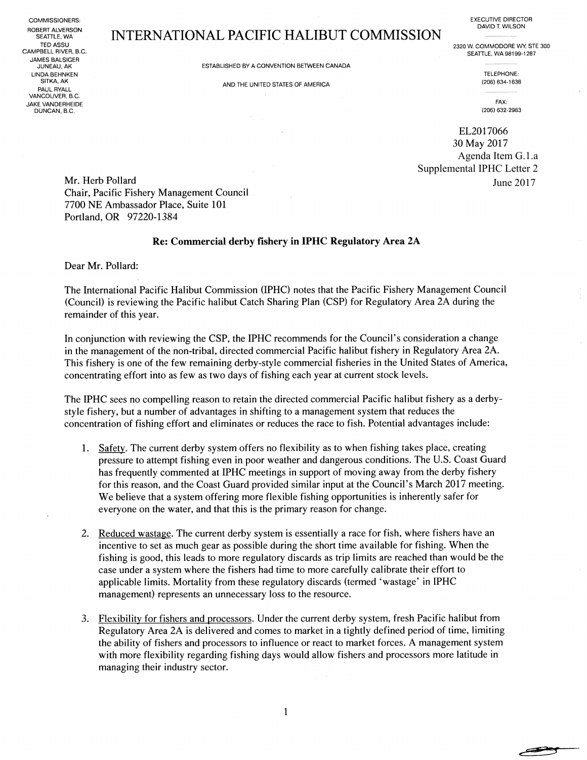ROBERT ALVERSON<br>SEATTLE, WA JAMES BALSIGER LINDA BEHNKEN TELEPHONE: TELEPHONE: TELEPHONE: TELEPHONE: TELEPHONE: TELEPHONE: TELEPHONE: TELEPHONE: TELEPHONE: TELEPHONE: TELEPHONE: TELEPHONE: TELEPHONE: TELEPHONE: TELEPHONE: TELEPHONE: TELEPHONE: TELEPHONE: TELEPHONE: SiTKA, AK PAUL RYALL VANCOUVER, B.C. , ONE OF THE SERVER SERVER THE SERVER SERVER THE SERVER SERVER THAT THE SERVER SERVER THAT THE SERVER SERVER SERVER THAT THE SERVER SERVER SERVER SERVER SERVER SERVER SERVER SERVER SERVER SERVER SERVER SERVER SERVER SERVER DUNCAN, B.C. ~2Q6) 632-2983

## SEATTLE, WA<br>EEATTLE, WA<br>TED ASSU

COMMISSlQNERS: EXECUTIVE DIRECTOR DAVID T. WILSON

TED ASSU TED ASSU EXAMPLE AND THE SOLUTION OF THE SOLUTION OF THE SOLUTION OF THE SOLUTION OF THE SOLUTION OF THE SOLUTION OF THE MALE SOLUTION OF THE MALE SOLUTION OF THE MALE SOLUTION OF THE MALE SOLUTION OF THE MALE SOL SEATTLE, WA 98199-1287

JUNEAU, AK ESTABLISHED BY A C4fVV~NTfON BETWEEN CANADA -~-~ -~

AND THE UNITED STATES OF AMERICA  $(206)$  634-1838

المستقصر

EL2017066 30 May 2017 Agenda Item G.1.a Supplemental IPHC Letter 2 June 2017

Mr. Herb Pollard Chair, Pacific Fishery Management Council 7700 NE Ambassador Place, Suite 101 Portland, OR 97220-1384

## Re: Commercial derby fishery in IPHC Regulatory Area 2A

Dear Mr. Pollard:

The International Pacific Halibut Commission (IPHC) notes that the Pacific Fishery Management Council (Council) is reviewing the Pacific halibut Catch Sharing Plan (CSP) for Regulatory Area 2A during the remainder of this year.

In conjunction with reviewing the CSP, the IPHC recommends for the Council's consideration a change in the management of the non-tribal, directed commercial Pacific halibut fishery in Regulatory Area 2A. This fishery is one of the few remaining derby-style commercial fisheries in the United States of America, concentrating effort into as few as two days of fishing each year at current stock levels.

The IPHC sees no compelling reason to retain the directed commercial Pacific halibut fishery as a derbystyle fishery, but a number of advantages in shifting to a management system that reduces the concentration of fishing effort and eliminates or reduces the race to fish. Potential advantages include:

- 1. Safety. The current derby system offers no flexibility as to when fishing takes place, creating pressure to attempt fishing even in poor weather and dangerous conditions. The U.S. Coast Guard has frequently commented at IPHC meetings in support of moving away from the derby fishery for this reason, and the Coast Guard provided similar input at the Council's March 2017 meeting. We believe that a system offering more flexible fishing opportunities is inherently safer for everyone on the water, and that this is the primary reason for change.
- 2. Reduced wastage. The current derby system is essentially a race for fish, where fishers have an incentive to set as much gear as possible during the short time available for fishing. When the fishing is good, this leads to more regulatory discards as trip limits are reached than would be the case under a system where the fishers had time to more carefully calibrate their effort to applicable limits. Mortality from these regulatory discards (termed `wastage' in IPHC management) represents an unnecessary loss to the resource.
- 3. Flexibility for fishers and processors. Under the current derby system, fresh Pacific halibut from Regulatory Area 2A is delivered and comes to market in a tightly defined period of time, limiting the ability of fishers and processors to influence or react to market forces. A management system with more flexibility regarding fishing days would allow fishers and processors more latitude in managing their industry sector.

 $\mathbf{1}$